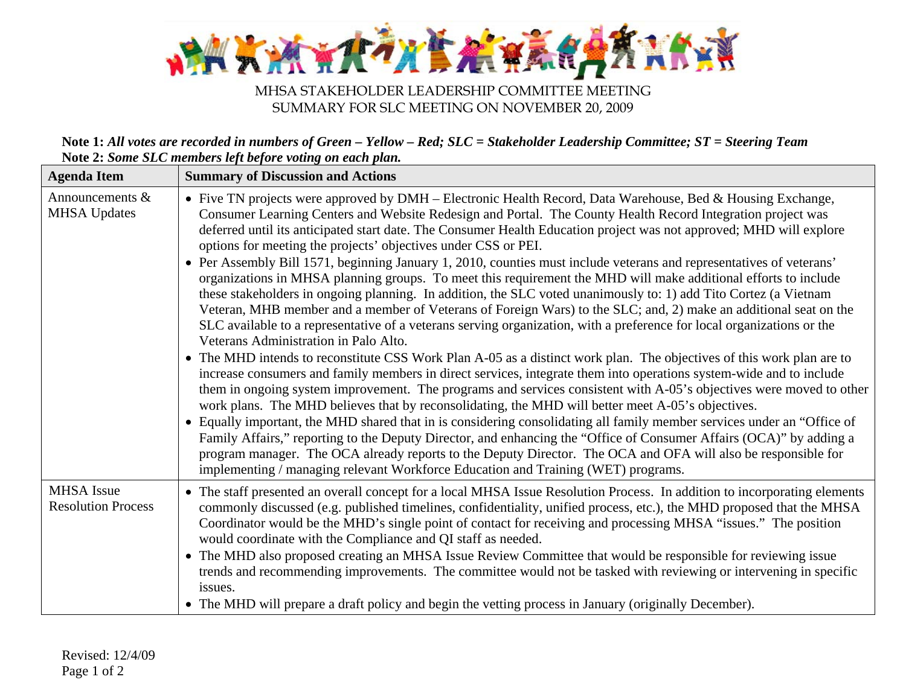

## MHSA STAKEHOLDER LEADERSHIP COMMITTEE MEETING SUMMARY FOR SLC MEETING ON NOVEMBER 20, 2009

|                                                           | Note 1: All votes are recorded in numbers of Green – Yellow – Red; SLC = Stakeholder Leadership Committee; ST = Steering Team |
|-----------------------------------------------------------|-------------------------------------------------------------------------------------------------------------------------------|
| Note 2: Some SLC members left before voting on each plan. |                                                                                                                               |

| <b>Agenda Item</b>                             | <b>Summary of Discussion and Actions</b>                                                                                                                                                                                                                                                                                                                                                                                                                                                                                                                                                                                                                                                                                                                                                                                                                                                                                                                                                                                                                                                                                                                                                                                                                                                                                                                                                                                                                                                                                                                                                                                                                                                                                                                                                                                                                                                                                                                                                                      |  |
|------------------------------------------------|---------------------------------------------------------------------------------------------------------------------------------------------------------------------------------------------------------------------------------------------------------------------------------------------------------------------------------------------------------------------------------------------------------------------------------------------------------------------------------------------------------------------------------------------------------------------------------------------------------------------------------------------------------------------------------------------------------------------------------------------------------------------------------------------------------------------------------------------------------------------------------------------------------------------------------------------------------------------------------------------------------------------------------------------------------------------------------------------------------------------------------------------------------------------------------------------------------------------------------------------------------------------------------------------------------------------------------------------------------------------------------------------------------------------------------------------------------------------------------------------------------------------------------------------------------------------------------------------------------------------------------------------------------------------------------------------------------------------------------------------------------------------------------------------------------------------------------------------------------------------------------------------------------------------------------------------------------------------------------------------------------------|--|
| Announcements &<br><b>MHSA Updates</b>         | • Five TN projects were approved by DMH – Electronic Health Record, Data Warehouse, Bed & Housing Exchange,<br>Consumer Learning Centers and Website Redesign and Portal. The County Health Record Integration project was<br>deferred until its anticipated start date. The Consumer Health Education project was not approved; MHD will explore<br>options for meeting the projects' objectives under CSS or PEI.<br>• Per Assembly Bill 1571, beginning January 1, 2010, counties must include veterans and representatives of veterans'<br>organizations in MHSA planning groups. To meet this requirement the MHD will make additional efforts to include<br>these stakeholders in ongoing planning. In addition, the SLC voted unanimously to: 1) add Tito Cortez (a Vietnam<br>Veteran, MHB member and a member of Veterans of Foreign Wars) to the SLC; and, 2) make an additional seat on the<br>SLC available to a representative of a veterans serving organization, with a preference for local organizations or the<br>Veterans Administration in Palo Alto.<br>• The MHD intends to reconstitute CSS Work Plan A-05 as a distinct work plan. The objectives of this work plan are to<br>increase consumers and family members in direct services, integrate them into operations system-wide and to include<br>them in ongoing system improvement. The programs and services consistent with A-05's objectives were moved to other<br>work plans. The MHD believes that by reconsolidating, the MHD will better meet A-05's objectives.<br>• Equally important, the MHD shared that in is considering consolidating all family member services under an "Office of<br>Family Affairs," reporting to the Deputy Director, and enhancing the "Office of Consumer Affairs (OCA)" by adding a<br>program manager. The OCA already reports to the Deputy Director. The OCA and OFA will also be responsible for<br>implementing / managing relevant Workforce Education and Training (WET) programs. |  |
| <b>MHSA</b> Issue<br><b>Resolution Process</b> | • The staff presented an overall concept for a local MHSA Issue Resolution Process. In addition to incorporating elements<br>commonly discussed (e.g. published timelines, confidentiality, unified process, etc.), the MHD proposed that the MHSA<br>Coordinator would be the MHD's single point of contact for receiving and processing MHSA "issues." The position<br>would coordinate with the Compliance and QI staff as needed.<br>• The MHD also proposed creating an MHSA Issue Review Committee that would be responsible for reviewing issue<br>trends and recommending improvements. The committee would not be tasked with reviewing or intervening in specific<br>issues.<br>• The MHD will prepare a draft policy and begin the vetting process in January (originally December).                                                                                                                                                                                                                                                                                                                                                                                                                                                                                                                                                                                                                                                                                                                                                                                                                                                                                                                                                                                                                                                                                                                                                                                                               |  |